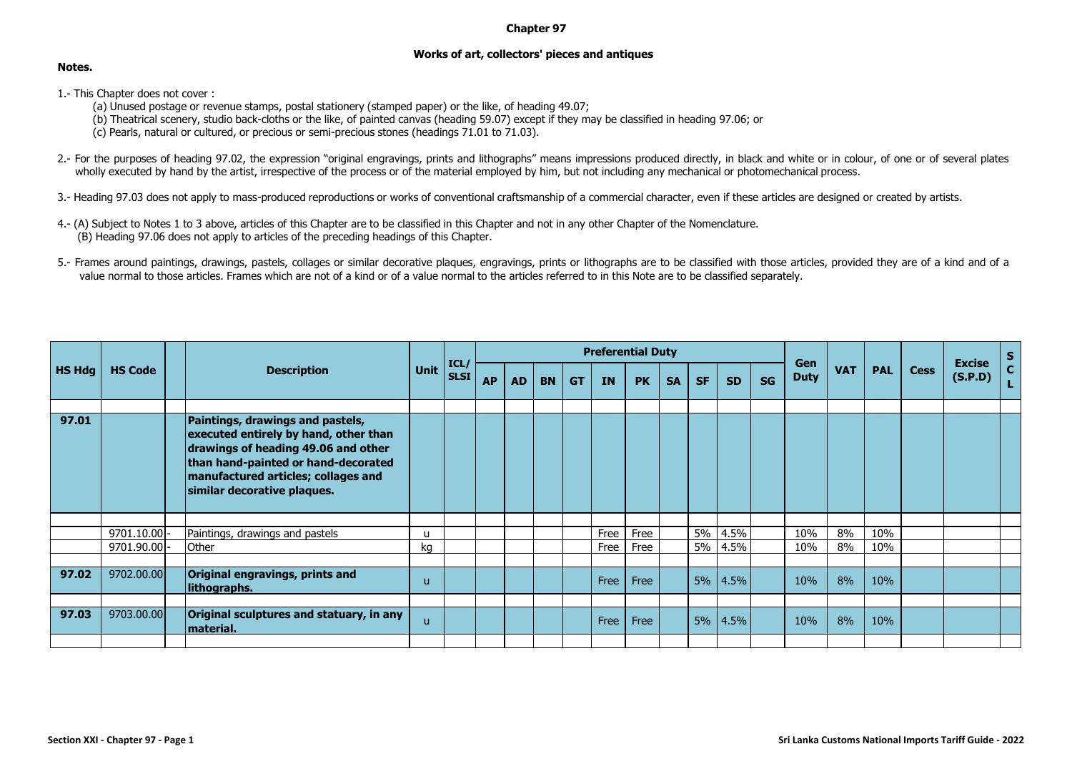## **Chapter 97**

## **Works of art, collectors' pieces and antiques**

## **Notes.**

- 1.- This Chapter does not cover :
	- (a) Unused postage or revenue stamps, postal stationery (stamped paper) or the like, of heading 49.07;
	- (b) Theatrical scenery, studio back-cloths or the like, of painted canvas (heading 59.07) except if they may be classified in heading 97.06; or
	- (c) Pearls, natural or cultured, or precious or semi-precious stones (headings 71.01 to 71.03).
- 2.- For the purposes of heading 97.02, the expression "original engravings, prints and lithographs" means impressions produced directly, in black and white or in colour, of one or of several plates wholly executed by hand by the artist, irrespective of the process or of the material employed by him, but not including any mechanical or photomechanical process.
- 3.- Heading 97.03 does not apply to mass-produced reproductions or works of conventional craftsmanship of a commercial character, even if these articles are designed or created by artists.
- 4.- (A) Subject to Notes 1 to 3 above, articles of this Chapter are to be classified in this Chapter and not in any other Chapter of the Nomenclature. (B) Heading 97.06 does not apply to articles of the preceding headings of this Chapter.
- 5.- Frames around paintings, drawings, pastels, collages or similar decorative plaques, engravings, prints or lithographs are to be classified with those articles, provided they are of a kind and of a value normal to those articles. Frames which are not of a kind or of a value normal to the articles referred to in this Note are to be classified separately.

| <b>HS Hdg</b> | <b>HS Code</b> | <b>Description</b>                                                                                                                                                                                                            | <b>Unit</b> | ICL<br><b>SLSI</b> | <b>Preferential Duty</b> |           |           |           |           |           |           |           |           |           |                    |            |            |             |                          |             |
|---------------|----------------|-------------------------------------------------------------------------------------------------------------------------------------------------------------------------------------------------------------------------------|-------------|--------------------|--------------------------|-----------|-----------|-----------|-----------|-----------|-----------|-----------|-----------|-----------|--------------------|------------|------------|-------------|--------------------------|-------------|
|               |                |                                                                                                                                                                                                                               |             |                    | <b>AP</b>                | <b>AD</b> | <b>BN</b> | <b>GT</b> | <b>IN</b> | <b>PK</b> | <b>SA</b> | <b>SF</b> | <b>SD</b> | <b>SG</b> | Gen<br><b>Duty</b> | <b>VAT</b> | <b>PAL</b> | <b>Cess</b> | <b>Excise</b><br>(S.P.D) | $rac{S}{C}$ |
|               |                |                                                                                                                                                                                                                               |             |                    |                          |           |           |           |           |           |           |           |           |           |                    |            |            |             |                          |             |
| 97.01         |                | Paintings, drawings and pastels,<br>executed entirely by hand, other than<br>drawings of heading 49.06 and other<br>than hand-painted or hand-decorated<br>manufactured articles; collages and<br>similar decorative plaques. |             |                    |                          |           |           |           |           |           |           |           |           |           |                    |            |            |             |                          |             |
|               |                |                                                                                                                                                                                                                               |             |                    |                          |           |           |           |           |           |           |           |           |           |                    |            |            |             |                          |             |
|               | $9701.10.00$ - | Paintings, drawings and pastels                                                                                                                                                                                               | u           |                    |                          |           |           |           | Free      | Free      |           | 5%        | 4.5%      |           | 10%                | 8%         | 10%        |             |                          |             |
|               | 9701.90.00 -   | Other                                                                                                                                                                                                                         | kq          |                    |                          |           |           |           | Free      | Free      |           | 5%        | 4.5%      |           | 10%                | 8%         | 10%        |             |                          |             |
|               |                |                                                                                                                                                                                                                               |             |                    |                          |           |           |           |           |           |           |           |           |           |                    |            |            |             |                          |             |
| 97.02         | 9702.00.00     | Original engravings, prints and<br>lithographs.                                                                                                                                                                               | u           |                    |                          |           |           |           | Free      | Free      |           |           | 5% 4.5%   |           | 10%                | 8%         | 10%        |             |                          |             |
|               |                |                                                                                                                                                                                                                               |             |                    |                          |           |           |           |           |           |           |           |           |           |                    |            |            |             |                          |             |
| 97.03         | 9703.00.00     | Original sculptures and statuary, in any<br>material.                                                                                                                                                                         | u           |                    |                          |           |           |           | Free      | Free      |           | 5%        | $ 4.5\% $ |           | 10%                | 8%         | 10%        |             |                          |             |
|               |                |                                                                                                                                                                                                                               |             |                    |                          |           |           |           |           |           |           |           |           |           |                    |            |            |             |                          |             |